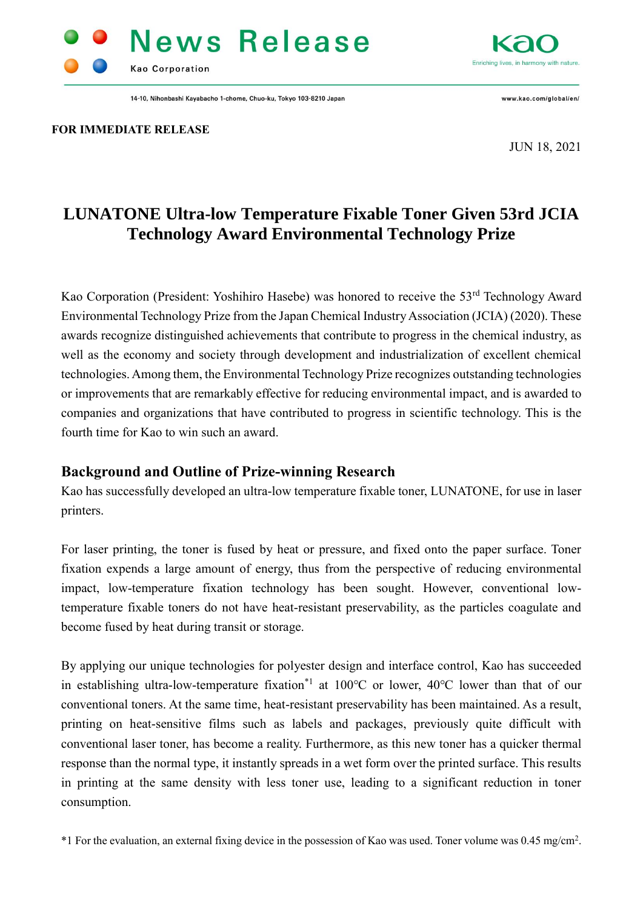# **News Release Kao Corporation**

14-10, Nihonbashi Kayabacho 1-chome, Chuo-ku, Tokyo 103-8210 Japan



www.kao.com/global/en/

**FOR IMMEDIATE RELEASE**

JUN 18, 2021

## **LUNATONE Ultra-low Temperature Fixable Toner Given 53rd JCIA Technology Award Environmental Technology Prize**

Kao Corporation (President: Yoshihiro Hasebe) was honored to receive the 53<sup>rd</sup> Technology Award Environmental Technology Prize from the Japan Chemical Industry Association (JCIA) (2020). These awards recognize distinguished achievements that contribute to progress in the chemical industry, as well as the economy and society through development and industrialization of excellent chemical technologies. Among them, the Environmental Technology Prize recognizes outstanding technologies or improvements that are remarkably effective for reducing environmental impact, and is awarded to companies and organizations that have contributed to progress in scientific technology. This is the fourth time for Kao to win such an award.

#### **Background and Outline of Prize-winning Research**

Kao has successfully developed an ultra-low temperature fixable toner, LUNATONE, for use in laser printers.

For laser printing, the toner is fused by heat or pressure, and fixed onto the paper surface. Toner fixation expends a large amount of energy, thus from the perspective of reducing environmental impact, low-temperature fixation technology has been sought. However, conventional lowtemperature fixable toners do not have heat-resistant preservability, as the particles coagulate and become fused by heat during transit or storage.

By applying our unique technologies for polyester design and interface control, Kao has succeeded in establishing ultra-low-temperature fixation<sup>\*1</sup> at 100℃ or lower, 40°C lower than that of our conventional toners. At the same time, heat-resistant preservability has been maintained. As a result, printing on heat-sensitive films such as labels and packages, previously quite difficult with conventional laser toner, has become a reality. Furthermore, as this new toner has a quicker thermal response than the normal type, it instantly spreads in a wet form over the printed surface. This results in printing at the same density with less toner use, leading to a significant reduction in toner consumption.

\*1 For the evaluation, an external fixing device in the possession of Kao was used. Toner volume was 0.45 mg/cm<sup>2</sup> .